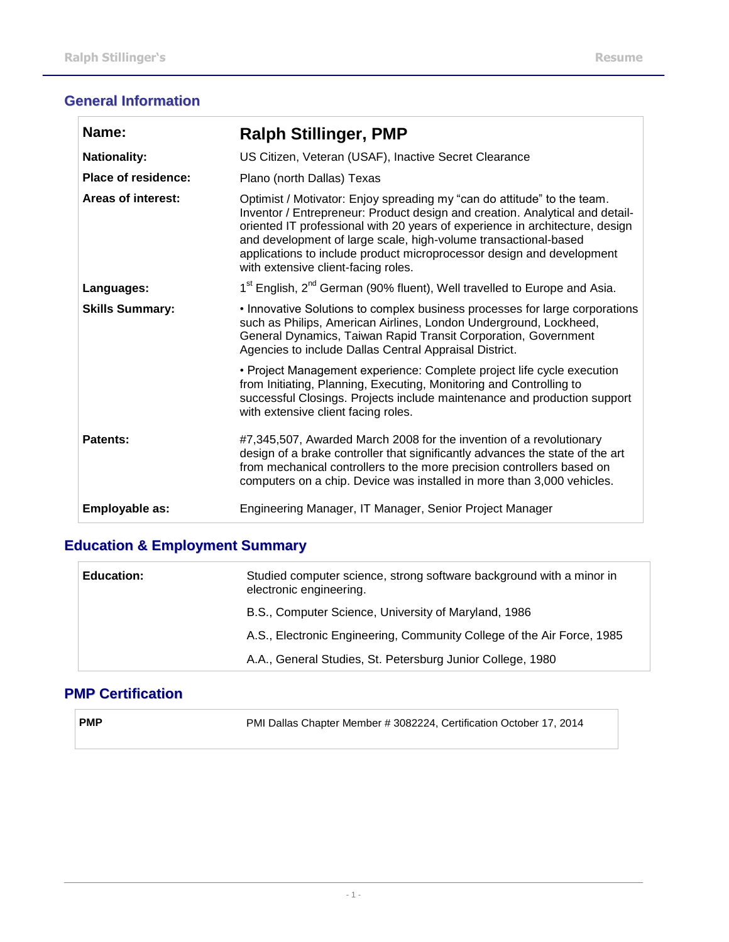### **General Information**

| Name:                     | <b>Ralph Stillinger, PMP</b>                                                                                                                                                                                                                                                                                                                                                                                               |
|---------------------------|----------------------------------------------------------------------------------------------------------------------------------------------------------------------------------------------------------------------------------------------------------------------------------------------------------------------------------------------------------------------------------------------------------------------------|
| <b>Nationality:</b>       | US Citizen, Veteran (USAF), Inactive Secret Clearance                                                                                                                                                                                                                                                                                                                                                                      |
| Place of residence:       | Plano (north Dallas) Texas                                                                                                                                                                                                                                                                                                                                                                                                 |
| <b>Areas of interest:</b> | Optimist / Motivator: Enjoy spreading my "can do attitude" to the team.<br>Inventor / Entrepreneur: Product design and creation. Analytical and detail-<br>oriented IT professional with 20 years of experience in architecture, design<br>and development of large scale, high-volume transactional-based<br>applications to include product microprocessor design and development<br>with extensive client-facing roles. |
| Languages:                | 1 <sup>st</sup> English, 2 <sup>nd</sup> German (90% fluent), Well travelled to Europe and Asia.                                                                                                                                                                                                                                                                                                                           |
| <b>Skills Summary:</b>    | • Innovative Solutions to complex business processes for large corporations<br>such as Philips, American Airlines, London Underground, Lockheed,<br>General Dynamics, Taiwan Rapid Transit Corporation, Government<br>Agencies to include Dallas Central Appraisal District.                                                                                                                                               |
|                           | • Project Management experience: Complete project life cycle execution<br>from Initiating, Planning, Executing, Monitoring and Controlling to<br>successful Closings. Projects include maintenance and production support<br>with extensive client facing roles.                                                                                                                                                           |
| <b>Patents:</b>           | #7,345,507, Awarded March 2008 for the invention of a revolutionary<br>design of a brake controller that significantly advances the state of the art<br>from mechanical controllers to the more precision controllers based on<br>computers on a chip. Device was installed in more than 3,000 vehicles.                                                                                                                   |
| Employable as:            | Engineering Manager, IT Manager, Senior Project Manager                                                                                                                                                                                                                                                                                                                                                                    |

# **Education & Employment Summary**

| <b>Education:</b> | Studied computer science, strong software background with a minor in<br>electronic engineering. |
|-------------------|-------------------------------------------------------------------------------------------------|
|                   | B.S., Computer Science, University of Maryland, 1986                                            |
|                   | A.S., Electronic Engineering, Community College of the Air Force, 1985                          |
|                   | A.A., General Studies, St. Petersburg Junior College, 1980                                      |

#### **PMP Certification**

| ⊪PMP | PMI Dallas Chapter Member # 3082224, Certification October 17, 2014 |
|------|---------------------------------------------------------------------|
|      |                                                                     |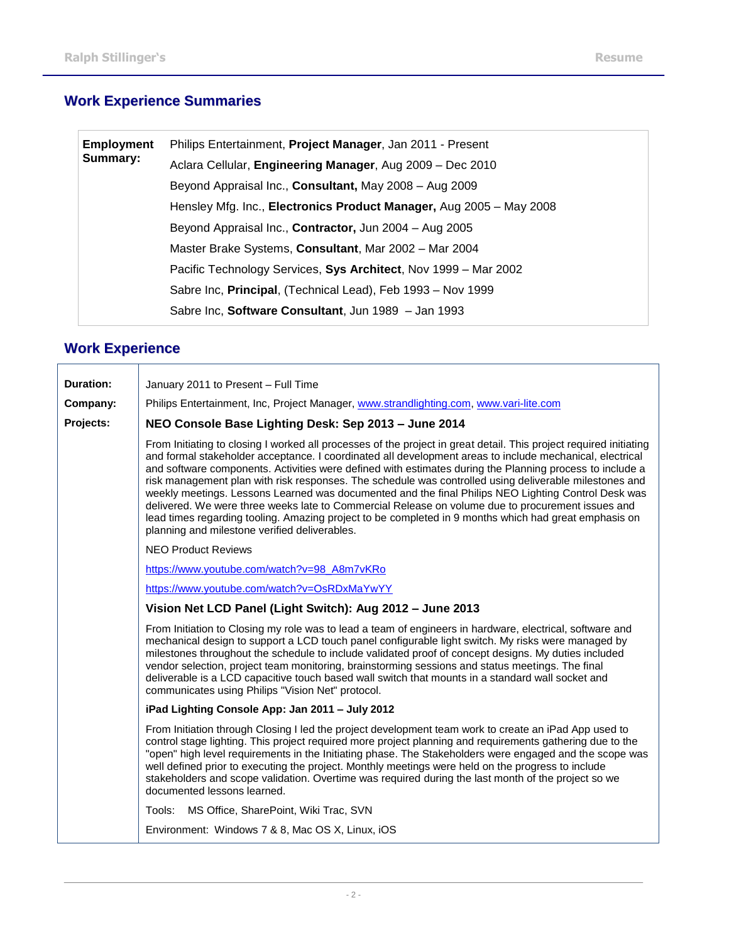# **Work Experience Summaries**

| <b>Employment</b><br>Summary: | Philips Entertainment, Project Manager, Jan 2011 - Present          |
|-------------------------------|---------------------------------------------------------------------|
|                               | Aclara Cellular, Engineering Manager, Aug 2009 - Dec 2010           |
|                               | Beyond Appraisal Inc., Consultant, May 2008 - Aug 2009              |
|                               | Hensley Mfg. Inc., Electronics Product Manager, Aug 2005 - May 2008 |
|                               | Beyond Appraisal Inc., Contractor, Jun 2004 - Aug 2005              |
|                               | Master Brake Systems, Consultant, Mar 2002 - Mar 2004               |
|                               | Pacific Technology Services, Sys Architect, Nov 1999 - Mar 2002     |
|                               | Sabre Inc, Principal, (Technical Lead), Feb 1993 - Nov 1999         |
|                               | Sabre Inc, Software Consultant, Jun 1989 - Jan 1993                 |

### **Work Experience**

| <b>Duration:</b> | January 2011 to Present - Full Time                                                                                                                                                                                                                                                                                                                                                                                                                                                                                                                                                                                                                                                                                                                                                                                        |
|------------------|----------------------------------------------------------------------------------------------------------------------------------------------------------------------------------------------------------------------------------------------------------------------------------------------------------------------------------------------------------------------------------------------------------------------------------------------------------------------------------------------------------------------------------------------------------------------------------------------------------------------------------------------------------------------------------------------------------------------------------------------------------------------------------------------------------------------------|
| Company:         | Philips Entertainment, Inc, Project Manager, www.strandlighting.com, www.vari-lite.com                                                                                                                                                                                                                                                                                                                                                                                                                                                                                                                                                                                                                                                                                                                                     |
| Projects:        | NEO Console Base Lighting Desk: Sep 2013 - June 2014                                                                                                                                                                                                                                                                                                                                                                                                                                                                                                                                                                                                                                                                                                                                                                       |
|                  | From Initiating to closing I worked all processes of the project in great detail. This project required initiating<br>and formal stakeholder acceptance. I coordinated all development areas to include mechanical, electrical<br>and software components. Activities were defined with estimates during the Planning process to include a<br>risk management plan with risk responses. The schedule was controlled using deliverable milestones and<br>weekly meetings. Lessons Learned was documented and the final Philips NEO Lighting Control Desk was<br>delivered. We were three weeks late to Commercial Release on volume due to procurement issues and<br>lead times regarding tooling. Amazing project to be completed in 9 months which had great emphasis on<br>planning and milestone verified deliverables. |
|                  | <b>NEO Product Reviews</b>                                                                                                                                                                                                                                                                                                                                                                                                                                                                                                                                                                                                                                                                                                                                                                                                 |
|                  | https://www.youtube.com/watch?v=98_A8m7vKRo                                                                                                                                                                                                                                                                                                                                                                                                                                                                                                                                                                                                                                                                                                                                                                                |
|                  | https://www.youtube.com/watch?v=OsRDxMaYwYY                                                                                                                                                                                                                                                                                                                                                                                                                                                                                                                                                                                                                                                                                                                                                                                |
|                  | Vision Net LCD Panel (Light Switch): Aug 2012 - June 2013                                                                                                                                                                                                                                                                                                                                                                                                                                                                                                                                                                                                                                                                                                                                                                  |
|                  | From Initiation to Closing my role was to lead a team of engineers in hardware, electrical, software and<br>mechanical design to support a LCD touch panel configurable light switch. My risks were managed by<br>milestones throughout the schedule to include validated proof of concept designs. My duties included<br>vendor selection, project team monitoring, brainstorming sessions and status meetings. The final<br>deliverable is a LCD capacitive touch based wall switch that mounts in a standard wall socket and<br>communicates using Philips "Vision Net" protocol.                                                                                                                                                                                                                                       |
|                  | iPad Lighting Console App: Jan 2011 - July 2012                                                                                                                                                                                                                                                                                                                                                                                                                                                                                                                                                                                                                                                                                                                                                                            |
|                  | From Initiation through Closing I led the project development team work to create an iPad App used to<br>control stage lighting. This project required more project planning and requirements gathering due to the<br>"open" high level requirements in the Initiating phase. The Stakeholders were engaged and the scope was<br>well defined prior to executing the project. Monthly meetings were held on the progress to include<br>stakeholders and scope validation. Overtime was required during the last month of the project so we<br>documented lessons learned.                                                                                                                                                                                                                                                  |
|                  | Tools: MS Office, SharePoint, Wiki Trac, SVN                                                                                                                                                                                                                                                                                                                                                                                                                                                                                                                                                                                                                                                                                                                                                                               |
|                  | Environment: Windows 7 & 8, Mac OS X, Linux, iOS                                                                                                                                                                                                                                                                                                                                                                                                                                                                                                                                                                                                                                                                                                                                                                           |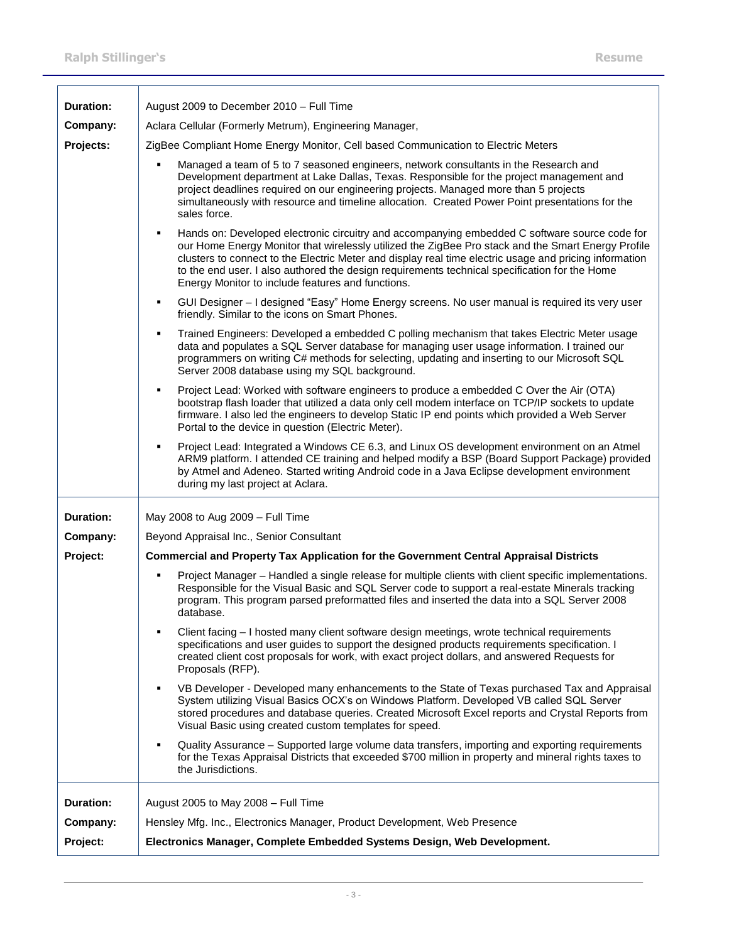| Duration:        | August 2009 to December 2010 - Full Time                                                                                                                                                                                                                                                                                                                                                                                                                                 |  |
|------------------|--------------------------------------------------------------------------------------------------------------------------------------------------------------------------------------------------------------------------------------------------------------------------------------------------------------------------------------------------------------------------------------------------------------------------------------------------------------------------|--|
| Company:         | Aclara Cellular (Formerly Metrum), Engineering Manager,                                                                                                                                                                                                                                                                                                                                                                                                                  |  |
| Projects:        | ZigBee Compliant Home Energy Monitor, Cell based Communication to Electric Meters                                                                                                                                                                                                                                                                                                                                                                                        |  |
|                  | Managed a team of 5 to 7 seasoned engineers, network consultants in the Research and<br>п<br>Development department at Lake Dallas, Texas. Responsible for the project management and<br>project deadlines required on our engineering projects. Managed more than 5 projects<br>simultaneously with resource and timeline allocation. Created Power Point presentations for the<br>sales force.                                                                         |  |
|                  | Hands on: Developed electronic circuitry and accompanying embedded C software source code for<br>٠<br>our Home Energy Monitor that wirelessly utilized the ZigBee Pro stack and the Smart Energy Profile<br>clusters to connect to the Electric Meter and display real time electric usage and pricing information<br>to the end user. I also authored the design requirements technical specification for the Home<br>Energy Monitor to include features and functions. |  |
|                  | GUI Designer - I designed "Easy" Home Energy screens. No user manual is required its very user<br>٠<br>friendly. Similar to the icons on Smart Phones.                                                                                                                                                                                                                                                                                                                   |  |
|                  | Trained Engineers: Developed a embedded C polling mechanism that takes Electric Meter usage<br>٠<br>data and populates a SQL Server database for managing user usage information. I trained our<br>programmers on writing C# methods for selecting, updating and inserting to our Microsoft SQL<br>Server 2008 database using my SQL background.                                                                                                                         |  |
|                  | Project Lead: Worked with software engineers to produce a embedded C Over the Air (OTA)<br>$\blacksquare$<br>bootstrap flash loader that utilized a data only cell modem interface on TCP/IP sockets to update<br>firmware. I also led the engineers to develop Static IP end points which provided a Web Server<br>Portal to the device in question (Electric Meter).                                                                                                   |  |
|                  | Project Lead: Integrated a Windows CE 6.3, and Linux OS development environment on an Atmel<br>٠<br>ARM9 platform. I attended CE training and helped modify a BSP (Board Support Package) provided<br>by Atmel and Adeneo. Started writing Android code in a Java Eclipse development environment<br>during my last project at Aclara.                                                                                                                                   |  |
| <b>Duration:</b> | May 2008 to Aug 2009 - Full Time                                                                                                                                                                                                                                                                                                                                                                                                                                         |  |
| Company:         | Beyond Appraisal Inc., Senior Consultant                                                                                                                                                                                                                                                                                                                                                                                                                                 |  |
| Project:         | <b>Commercial and Property Tax Application for the Government Central Appraisal Districts</b>                                                                                                                                                                                                                                                                                                                                                                            |  |
|                  | Project Manager - Handled a single release for multiple clients with client specific implementations.<br>٠<br>Responsible for the Visual Basic and SQL Server code to support a real-estate Minerals tracking<br>program. This program parsed preformatted files and inserted the data into a SQL Server 2008<br>database.                                                                                                                                               |  |
|                  | Client facing - I hosted many client software design meetings, wrote technical requirements<br>٠<br>specifications and user guides to support the designed products requirements specification. I<br>created client cost proposals for work, with exact project dollars, and answered Requests for<br>Proposals (RFP).                                                                                                                                                   |  |
|                  | VB Developer - Developed many enhancements to the State of Texas purchased Tax and Appraisal<br>$\blacksquare$<br>System utilizing Visual Basics OCX's on Windows Platform. Developed VB called SQL Server<br>stored procedures and database queries. Created Microsoft Excel reports and Crystal Reports from<br>Visual Basic using created custom templates for speed.                                                                                                 |  |
|                  | Quality Assurance - Supported large volume data transfers, importing and exporting requirements<br>٠<br>for the Texas Appraisal Districts that exceeded \$700 million in property and mineral rights taxes to<br>the Jurisdictions.                                                                                                                                                                                                                                      |  |
| <b>Duration:</b> | August 2005 to May 2008 - Full Time                                                                                                                                                                                                                                                                                                                                                                                                                                      |  |
| Company:         | Hensley Mfg. Inc., Electronics Manager, Product Development, Web Presence                                                                                                                                                                                                                                                                                                                                                                                                |  |
| Project:         | Electronics Manager, Complete Embedded Systems Design, Web Development.                                                                                                                                                                                                                                                                                                                                                                                                  |  |
|                  |                                                                                                                                                                                                                                                                                                                                                                                                                                                                          |  |